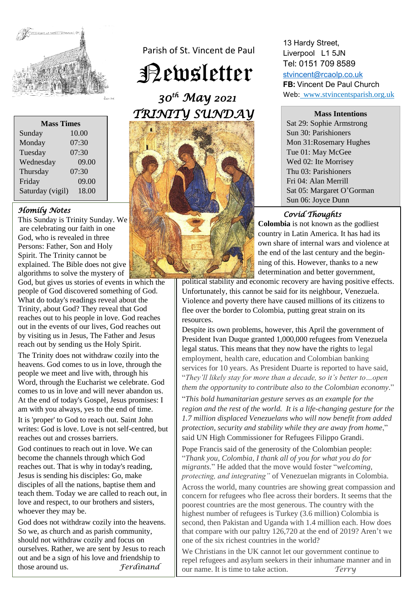

| <b>Mass Times</b> |       |
|-------------------|-------|
| Sunday            | 10.00 |
| Monday            | 07:30 |
| Tuesday           | 07:30 |
| Wednesday         | 09.00 |
| Thursday          | 07:30 |
| Friday            | 09.00 |
| Saturday (vigil)  | 18.00 |

# *Homily Notes*

This Sunday is Trinity Sunday. We are celebrating our faith in one God, who is revealed in three Persons: Father, Son and Holy Spirit. The Trinity cannot be explained. The Bible does not give algorithms to solve the mystery of

God, but gives us stories of events in which the people of God discovered something of God. What do today's readings reveal about the Trinity, about God? They reveal that God reaches out to his people in love. God reaches out in the events of our lives, God reaches out by visiting us in Jesus, The Father and Jesus reach out by sending us the Holy Spirit.

The Trinity does not withdraw cozily into the heavens. God comes to us in love, through the people we meet and live with, through his Word, through the Eucharist we celebrate. God comes to us in love and will never abandon us. At the end of today's Gospel, Jesus promises: I am with you always, yes to the end of time.

It is 'proper' to God to reach out. Saint John writes: God is love. Love is not self-centred, but reaches out and crosses barriers.

God continues to reach out in love. We can become the channels through which God reaches out. That is why in today's reading, Jesus is sending his disciples: Go, make disciples of all the nations, baptise them and teach them. Today we are called to reach out, in love and respect, to our brothers and sisters, whoever they may be.

God does not withdraw cozily into the heavens. So we, as church and as parish community, should not withdraw cozily and focus on ourselves. Rather, we are sent by Jesus to reach out and be a sign of his love and friendship to<br>those around us. Ferdinand those around us.

Parish of St. Vincent de Paul

Newsletter

 *30th May 2021 TRINITY SUNDAY* 



13 Hardy Street, Liverpool L1 5JN Tel: 0151 709 8589 [stvincent@rcaolp.co.uk](mailto:stvincent@rcaolp.co.uk) **FB:** Vincent De Paul Church

Web: www.stvincentsparish.org.uk

**Mass Intentions**

Sat 29: Sophie Armstrong Sun 30: Parishioners Mon 31:Rosemary Hughes Tue 01: May McGee Wed 02: Ite Morrisey Thu 03: Parishioners Fri 04: Alan Merrill Sat 05: Margaret O'Gorman Sun 06: Joyce Dunn

# *Covid Thoughts*

**Colombia** is not known as the godliest country in Latin America. It has had its own share of internal wars and violence at the end of the last century and the beginning of this. However, thanks to a new determination and better government,

political stability and economic recovery are having positive effects. Unfortunately, this cannot be said for its neighbour, Venezuela. Violence and poverty there have caused millions of its citizens to flee over the border to Colombia, putting great strain on its resources.

Despite its own problems, however, this April the government of President Ivan Duque granted 1,000,000 refugees from Venezuela legal status. This means that they now have the rights to [legal](https://www.washingtonpost.com/politics/2021/03/11/columbia-is-letting-hundreds-thousands-venezuelans-stay-what-can-other-countries-learn/)  [employment, health care, education and Colombian banking](https://www.washingtonpost.com/politics/2021/03/11/columbia-is-letting-hundreds-thousands-venezuelans-stay-what-can-other-countries-learn/)  [services](https://www.washingtonpost.com/politics/2021/03/11/columbia-is-letting-hundreds-thousands-venezuelans-stay-what-can-other-countries-learn/) for 10 years. As President Duarte is reported to have said, "*They'll likely stay for more than a decade, so it's better to…open them the opportunity to contribute also to the Colombian economy*."

"*This bold humanitarian gesture serves as an example for the region and the rest of the world. It is a life-changing gesture for the 1.7 million displaced Venezuelans who will now benefit from added protection, security and stability while they are away from home*," said UN High Commissioner for Refugees Filippo Grandi.

Pope Francis said of the generosity of the Colombian people: "*Thank you, Colombia, I thank all of you for what you do for migrants.*" He added that the move would foster "*welcoming, protecting, and integrating"* of Venezuelan migrants in Colombia.

Across the world, many countries are showing great compassion and concern for refugees who flee across their borders. It seems that the poorest countries are the most generous. The country with the highest number of refugees is Turkey (3.6 million) Colombia is second, then Pakistan and Uganda with 1.4 million each. How does that compare with our paltry 126,720 at the end of 2019? Aren't we one of the six richest countries in the world?

We Christians in the UK cannot let our government continue to repel refugees and asylum seekers in their inhumane manner and in our name. It is time to take action. *Terry*